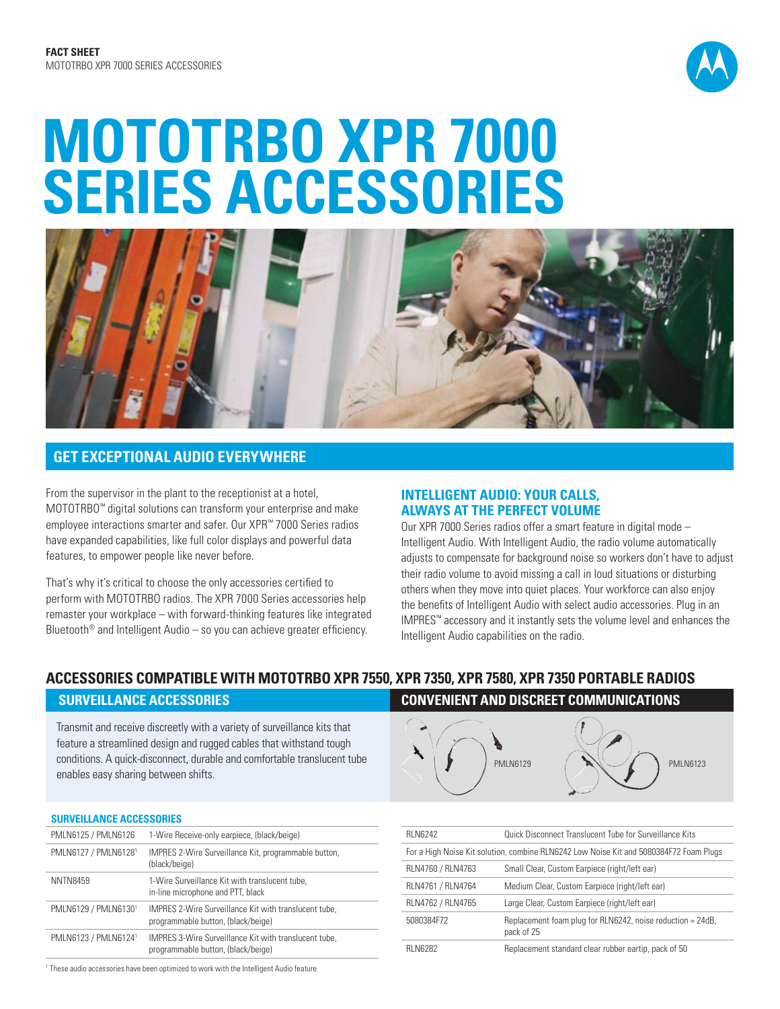

# *MOTOTRBO XPR 7000 SERIES ACCESSORIES*



# *GET EXCEPTIONAL AUDIO EVERYWHERE*

From the supervisor in the plant to the receptionist at a hotel, MOTOTRBO™ digital solutions can transform your enterprise and make employee interactions smarter and safer. Our XPR™ 7000 Series radios have expanded capabilities, like full color displays and powerful data features, to empower people like never before.

That's why it's critical to choose the only accessories certified to perform with MOTOTRBO radios. The XPR 7000 Series accessories help remaster your workplace – with forward-thinking features like integrated Bluetooth<sup>®</sup> and Intelligent Audio – so you can achieve greater efficiency.

## *INTELLIGENT AUDIO: YOUR CALLS, ALWAYS AT THE PERFECT VOLUME*

Our XPR 7000 Series radios offer a smart feature in digital mode – Intelligent Audio. With Intelligent Audio, the radio volume automatically adjusts to compensate for background noise so workers don't have to adjust their radio volume to avoid missing a call in loud situations or disturbing others when they move into quiet places. Your workforce can also enjoy the benefits of Intelligent Audio with select audio accessories. Plug in an IMPRES™ accessory and it instantly sets the volume level and enhances the Intelligent Audio capabilities on the radio.

# *ACCESSORIES COMPATIBLE WITH MOTOTRBO XPR 7550, XPR 7350, XPR 7580, XPR 7350 PORTABLE RADIOS*

Transmit and receive discreetly with a variety of surveillance kits that feature a streamlined design and rugged cables that withstand tough conditions. A quick-disconnect, durable and comfortable translucent tube enables easy sharing between shifts.

# *SURVEILLANCE ACCESSORIES*

| <u>UUIITEILENITUL MUULUUUIIILU</u>                                 |                                                                                                    |  |
|--------------------------------------------------------------------|----------------------------------------------------------------------------------------------------|--|
| 1-Wire Receive-only earpiece, (black/beige)<br>PMLN6125 / PMLN6126 |                                                                                                    |  |
| PMLN6127 / PMLN61281                                               | IMPRES 2-Wire Surveillance Kit, programmable button,<br>(black/beige)                              |  |
| <b>NNTN8459</b>                                                    | 1-Wire Surveillance Kit with translucent tube,<br>in-line microphone and PTT, black                |  |
| PMLN6129 / PMLN61301                                               | <b>IMPRES 2-Wire Surveillance Kit with translucent tube.</b><br>programmable button, (black/beige) |  |
| PMLN6123 / PMLN61241                                               | IMPRES 3-Wire Surveillance Kit with translucent tube,<br>programmable button, (black/beige)        |  |
|                                                                    |                                                                                                    |  |

# *SURVEILLANCE ACCESSORIES CONVENIENT AND DISCREET COMMUNICATIONS*



| <b>RLN6242</b>                                                                         | Quick Disconnect Translucent Tube for Surveillance Kits                  |  |
|----------------------------------------------------------------------------------------|--------------------------------------------------------------------------|--|
| For a High Noise Kit solution, combine RLN6242 Low Noise Kit and 5080384F72 Foam Plugs |                                                                          |  |
| RLN4760 / RLN4763                                                                      | Small Clear, Custom Earpiece (right/left ear)                            |  |
| RLN4761 / RLN4764                                                                      | Medium Clear, Custom Earpiece (right/left ear)                           |  |
| RLN4762 / RLN4765                                                                      | Large Clear, Custom Earpiece (right/left ear)                            |  |
| 5080384F72                                                                             | Replacement foam plug for RLN6242, noise reduction = 24dB,<br>pack of 25 |  |
| <b>RI N6282</b>                                                                        | Replacement standard clear rubber eartip, pack of 50                     |  |

1 These audio accessories have been optimized to work with the Intelligent Audio feature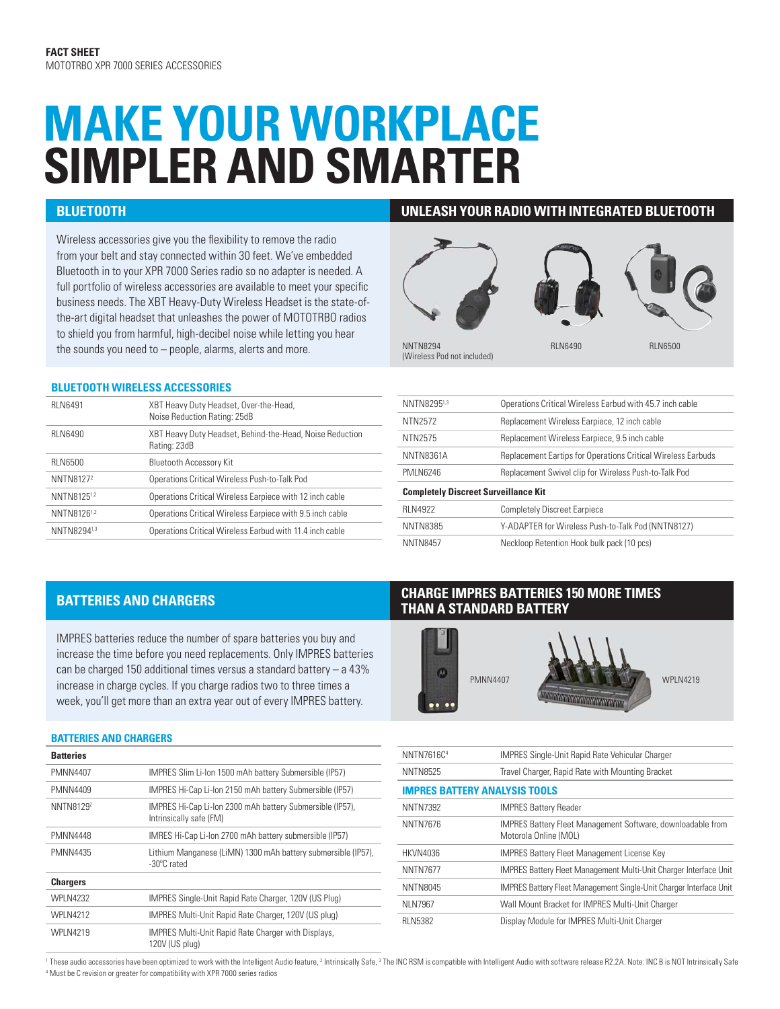# *MAKE YOUR WORKPLACE SIMPLER AND SMARTER*

Wireless accessories give you the flexibility to remove the radio from your belt and stay connected within 30 feet. We've embedded Bluetooth in to your XPR 7000 Series radio so no adapter is needed. A full portfolio of wireless accessories are available to meet your specific business needs. The XBT Heavy-Duty Wireless Headset is the state-ofthe-art digital headset that unleashes the power of MOTOTRBO radios to shield you from harmful, high-decibel noise while letting you hear the sounds you need to – people, alarms, alerts and more.

## **BLUETOOTH WIRELESS ACCESSORIES**

| <b>RLN6491</b>        | XBT Heavy Duty Headset, Over-the-Head,<br>Noise Reduction Rating: 25dB   |
|-----------------------|--------------------------------------------------------------------------|
| <b>RLN6490</b>        | XBT Heavy Duty Headset, Behind-the-Head, Noise Reduction<br>Rating: 23dB |
| <b>RLN6500</b>        | <b>Bluetooth Accessory Kit</b>                                           |
| NNTN8127 <sup>2</sup> | Operations Critical Wireless Push-to-Talk Pod                            |
| NNTN81251,2           | Operations Critical Wireless Earpiece with 12 inch cable                 |
| NNTN81261,2           | Operations Critical Wireless Earpiece with 9.5 inch cable                |
| NNTN82941,3           | Operations Critical Wireless Earbud with 11.4 inch cable                 |
|                       |                                                                          |

## *BLUETOOTH UNLEASH YOUR RADIO WITH INTEGRATED BLUETOOTH*

# NNTN8294 (Wireless Pod not included) RLN6490 RLN6500

NNTN82951,3 Operations Critical Wireless Earbud with 45.7 inch cable NTN2572 Replacement Wireless Earpiece, 12 inch cable NTN2575 Replacement Wireless Earpiece, 9.5 inch cable NNTN8361A Replacement Eartips for Operations Critical Wireless Earbuds PMLN6246 Replacement Swivel clip for Wireless Push-to-Talk Pod *Completely Discreet Surveillance Kit* RLN4922 Completely Discreet Earpiece NNTN8385 Y-ADAPTER for Wireless Push-to-Talk Pod (NNTN8127) NNTN8457 Neckloop Retention Hook bulk pack (10 pcs)

IMPRES batteries reduce the number of spare batteries you buy and increase the time before you need replacements. Only IMPRES batteries can be charged 150 additional times versus a standard battery  $-$  a 43% increase in charge cycles. If you charge radios two to three times a week, you'll get more than an extra year out of every IMPRES battery.

## *BATTERIES AND CHARGERS*

| <b>Batteries</b>      |                                                                                      |
|-----------------------|--------------------------------------------------------------------------------------|
| <b>PMNN4407</b>       | IMPRES SIim Li-Ion 1500 mAh battery Submersible (IP57)                               |
| <b>PMNN4409</b>       | IMPRES Hi-Cap Li-Ion 2150 mAh battery Submersible (IP57)                             |
| NNTN8129 <sup>2</sup> | IMPRES Hi-Cap Li-Ion 2300 mAh battery Submersible (IP57),<br>Intrinsically safe (FM) |
| <b>PMNN4448</b>       | IMRES Hi-Cap Li-Ion 2700 mAh battery submersible (IP57)                              |
| <b>PMNN4435</b>       | Lithium Manganese (LiMN) 1300 mAh battery submersible (IP57),<br>-30°C rated         |
| <b>Chargers</b>       |                                                                                      |
| <b>WPLN4232</b>       | IMPRES Single-Unit Rapid Rate Charger, 120V (US Plug)                                |
| <b>WPLN4212</b>       | IMPRES Multi-Unit Rapid Rate Charger, 120V (US plug)                                 |
| <b>WPLN4219</b>       | IMPRES Multi-Unit Rapid Rate Charger with Displays,<br>120V (US plua)                |

# *BATTERIES AND CHARGERS CHARGE IMPRES BATTERIES 150 MORE TIMES THAN A STANDARD BATTERY*



| NNTN7616C <sup>4</sup>               | <b>IMPRES Single-Unit Rapid Rate Vehicular Charger</b>                                      |  |
|--------------------------------------|---------------------------------------------------------------------------------------------|--|
| <b>NNTN8525</b>                      | Travel Charger, Rapid Rate with Mounting Bracket                                            |  |
| <b>IMPRES BATTERY ANALYSIS TOOLS</b> |                                                                                             |  |
| <b>NNTN7392</b>                      | <b>IMPRES Battery Reader</b>                                                                |  |
| <b>NNTN7676</b>                      | <b>IMPRES Battery Fleet Management Software, downloadable from</b><br>Motorola Online (MOL) |  |
| <b>HKVN4036</b>                      | <b>IMPRES Battery Fleet Management License Key</b>                                          |  |
| <b>NNTN7677</b>                      | <b>IMPRES Battery Fleet Management Multi-Unit Charger Interface Unit</b>                    |  |
| <b>NNTN8045</b>                      | <b>IMPRES Battery Fleet Management Single-Unit Charger Interface Unit</b>                   |  |
| NLN7967                              | Wall Mount Bracket for IMPRES Multi-Unit Charger                                            |  |
| <b>RLN5382</b>                       | Display Module for IMPRES Multi-Unit Charger                                                |  |

These audio accessories have been optimized to work with the Intelligent Audio feature, <sup>2</sup> Intrinsically Safe, <sup>3</sup> The INC RSM is compatible with Intelligent Audio with software release R2.2A. Note: INC B is NOT Intrinsic 4 Must be C revision or greater for compatibility with XPR 7000 series radios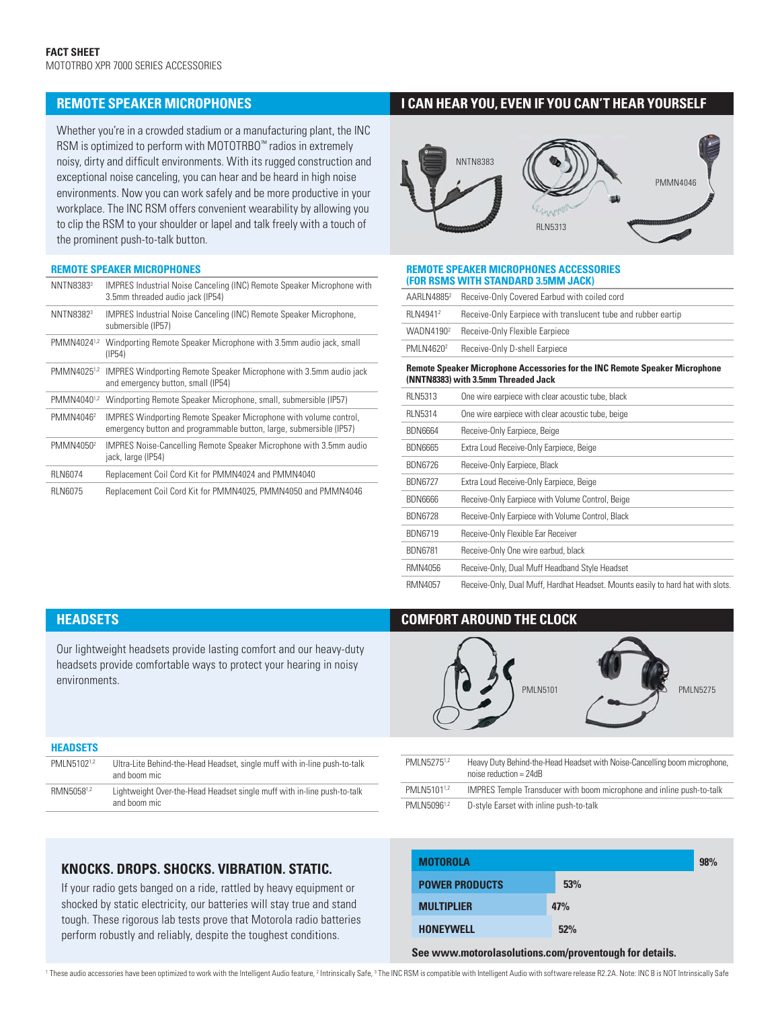Whether you're in a crowded stadium or a manufacturing plant, the INC RSM is optimized to perform with MOTOTRBO™ radios in extremely noisy, dirty and difficult environments. With its rugged construction and exceptional noise canceling, you can hear and be heard in high noise environments. Now you can work safely and be more productive in your workplace. The INC RSM offers convenient wearability by allowing you to clip the RSM to your shoulder or lapel and talk freely with a touch of the prominent push-to-talk button.

### *REMOTE SPEAKER MICROPHONES*

| NNTN83833             | <b>IMPRES Industrial Noise Canceling (INC) Remote Speaker Microphone with</b><br>3.5mm threaded audio jack (IP54)                               |
|-----------------------|-------------------------------------------------------------------------------------------------------------------------------------------------|
| NNTN8382 <sup>3</sup> | <b>IMPRES Industrial Noise Canceling (INC) Remote Speaker Microphone,</b><br>submersible (IP57)                                                 |
| PMMN40241.2           | Windporting Remote Speaker Microphone with 3.5mm audio jack, small<br>(IP54)                                                                    |
| PMMN40251,2           | <b>IMPRES Windporting Remote Speaker Microphone with 3.5mm audio jack</b><br>and emergency button, small (IP54)                                 |
| PMMN40401.2           | Windporting Remote Speaker Microphone, small, submersible (IP57)                                                                                |
| PMMN4046 <sup>2</sup> | <b>IMPRES Windporting Remote Speaker Microphone with volume control,</b><br>emergency button and programmable button, large, submersible (IP57) |
| PMMN4050 <sup>2</sup> | <b>IMPRES Noise-Cancelling Remote Speaker Microphone with 3.5mm audio</b><br>jack, large (IP54)                                                 |
| <b>RLN6074</b>        | Replacement Coil Cord Kit for PMMN4024 and PMMN4040                                                                                             |
| <b>RLN6075</b>        | Replacement Coil Cord Kit for PMMN4025, PMMN4050 and PMMN4046                                                                                   |

# *REMOTE SPEAKER MICROPHONES I CAN HEAR YOU, EVEN IF YOU CAN'T HEAR YOURSELF*



### *REMOTE SPEAKER MICROPHONES ACCESSORIES (FOR RSMS WITH STANDARD 3.5MM JACK)*

| AARLN4885 <sup>2</sup> | Receive-Only Covered Earbud with coiled cord                  |
|------------------------|---------------------------------------------------------------|
| RLN4941 <sup>2</sup>   | Receive-Only Earpiece with translucent tube and rubber eartip |
| WADN4190 <sup>2</sup>  | Receive-Only Flexible Earpiece                                |
| PMLN4620 <sup>2</sup>  | Receive-Only D-shell Earpiece                                 |
|                        |                                                               |

### *Remote Speaker Microphone Accessories for the INC Remote Speaker Microphone (NNTN8383) with 3.5mm Threaded Jack*

| <b>RLN5313</b> | One wire earpiece with clear acoustic tube, black                               |
|----------------|---------------------------------------------------------------------------------|
| <b>RLN5314</b> | One wire earpiece with clear acoustic tube, beige                               |
| <b>BDN6664</b> | Receive-Only Earpiece, Beige                                                    |
| <b>BDN6665</b> | Extra Loud Receive-Only Earpiece, Beige                                         |
| <b>BDN6726</b> | Receive-Only Earpiece, Black                                                    |
| <b>BDN6727</b> | Extra Loud Receive-Only Earpiece, Beige                                         |
| <b>BDN6666</b> | Receive-Only Earpiece with Volume Control, Beige                                |
| <b>BDN6728</b> | Receive-Only Earpiece with Volume Control, Black                                |
| <b>BDN6719</b> | Receive-Only Flexible Ear Receiver                                              |
| <b>BDN6781</b> | Receive-Only One wire earbud, black                                             |
| RMN4056        | Receive-Only, Dual Muff Headband Style Headset                                  |
| RMN4057        | Receive-Only, Dual Muff, Hardhat Headset. Mounts easily to hard hat with slots. |

Our lightweight headsets provide lasting comfort and our heavy-duty headsets provide comfortable ways to protect your hearing in noisy environments.

## *HEADSETS COMFORT AROUND THE CLOCK*



| <b>HEADSETS</b> |                                                                                           |
|-----------------|-------------------------------------------------------------------------------------------|
| PMI N51021.2    | Ultra-Lite Behind-the-Head Headset, single muff with in-line push-to-talk<br>and boom mic |
| RMN50581.2      | Lightweight Over-the-Head Headset single muff with in-line push-to-talk<br>and boom mic   |

| PMLN52751.2 | Heavy Duty Behind-the-Head Headset with Noise-Cancelling boom microphone.<br>noise reduction = $24dB$ |
|-------------|-------------------------------------------------------------------------------------------------------|
| PMLN51011.2 | IMPRES Temple Transducer with boom microphone and inline push-to-talk                                 |
| PMLN50961.2 | D-style Earset with inline push-to-talk                                                               |

# *KNOCKS. DROPS. SHOCKS. VIBRATION. STATIC.*

If your radio gets banged on a ride, rattled by heavy equipment or shocked by static electricity, our batteries will stay true and stand tough. These rigorous lab tests prove that Motorola radio batteries perform robustly and reliably, despite the toughest conditions.

| <b>MOTOROLA</b>                                        |     | 98% |
|--------------------------------------------------------|-----|-----|
| <b>POWER PRODUCTS</b>                                  | 53% |     |
| <b>MULTIPLIER</b>                                      | 47% |     |
| <b>HONEYWELL</b>                                       | 52% |     |
| See www.motorolasolutions.com/proventough for details. |     |     |

These audio accessories have been optimized to work with the Intelligent Audio feature, <sup>2</sup> Intrinsically Safe, <sup>3</sup> The INC RSM is compatible with Intelligent Audio with software release R2.2A. Note: INC B is NOT Intrinsic